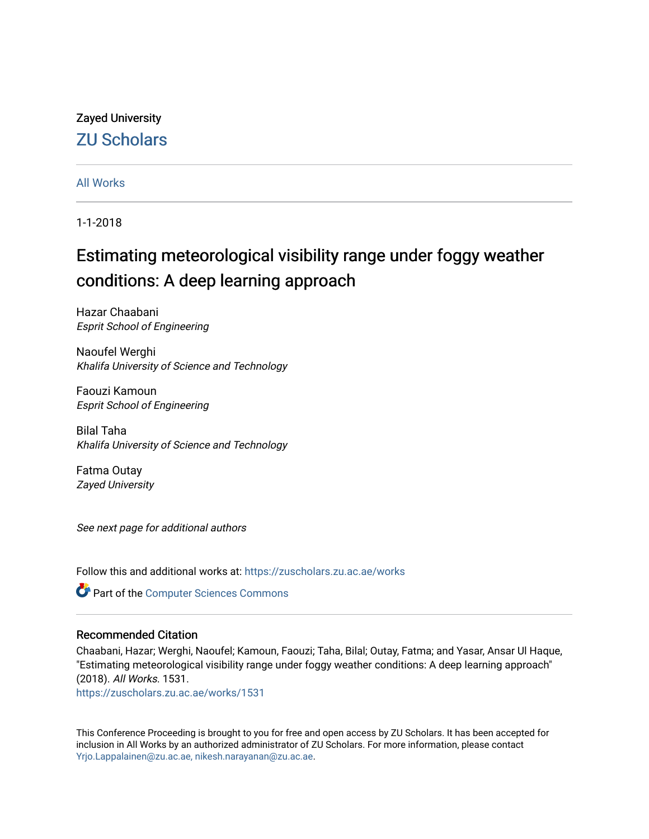## Zayed University [ZU Scholars](https://zuscholars.zu.ac.ae/)

### [All Works](https://zuscholars.zu.ac.ae/works)

1-1-2018

# Estimating meteorological visibility range under foggy weather conditions: A deep learning approach

Hazar Chaabani Esprit School of Engineering

Naoufel Werghi Khalifa University of Science and Technology

Faouzi Kamoun Esprit School of Engineering

Bilal Taha Khalifa University of Science and Technology

Fatma Outay Zayed University

See next page for additional authors

Follow this and additional works at: [https://zuscholars.zu.ac.ae/works](https://zuscholars.zu.ac.ae/works?utm_source=zuscholars.zu.ac.ae%2Fworks%2F1531&utm_medium=PDF&utm_campaign=PDFCoverPages)

Part of the [Computer Sciences Commons](http://network.bepress.com/hgg/discipline/142?utm_source=zuscholars.zu.ac.ae%2Fworks%2F1531&utm_medium=PDF&utm_campaign=PDFCoverPages)

### Recommended Citation

Chaabani, Hazar; Werghi, Naoufel; Kamoun, Faouzi; Taha, Bilal; Outay, Fatma; and Yasar, Ansar Ul Haque, "Estimating meteorological visibility range under foggy weather conditions: A deep learning approach" (2018). All Works. 1531.

[https://zuscholars.zu.ac.ae/works/1531](https://zuscholars.zu.ac.ae/works/1531?utm_source=zuscholars.zu.ac.ae%2Fworks%2F1531&utm_medium=PDF&utm_campaign=PDFCoverPages)

This Conference Proceeding is brought to you for free and open access by ZU Scholars. It has been accepted for inclusion in All Works by an authorized administrator of ZU Scholars. For more information, please contact [Yrjo.Lappalainen@zu.ac.ae, nikesh.narayanan@zu.ac.ae](mailto:Yrjo.Lappalainen@zu.ac.ae,%20nikesh.narayanan@zu.ac.ae).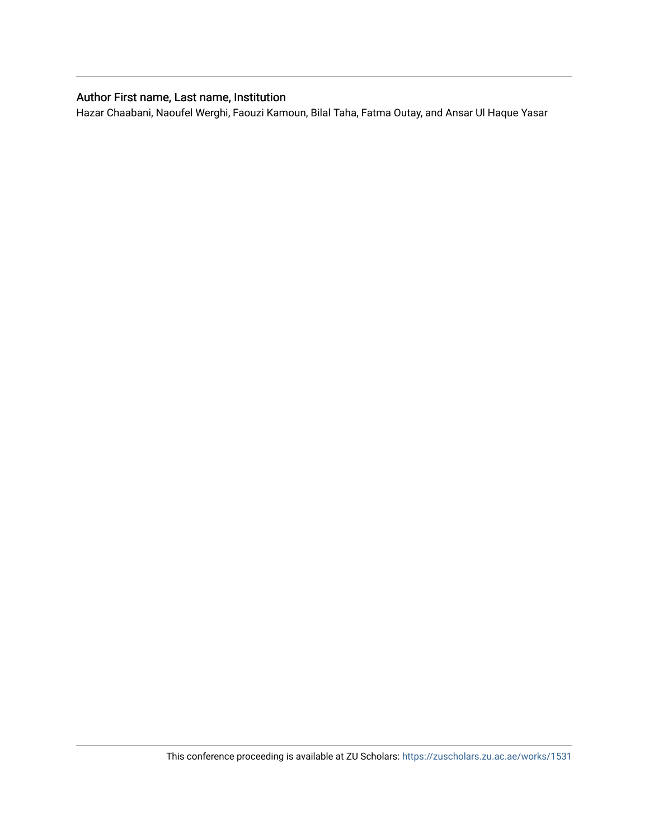## Author First name, Last name, Institution

Hazar Chaabani, Naoufel Werghi, Faouzi Kamoun, Bilal Taha, Fatma Outay, and Ansar Ul Haque Yasar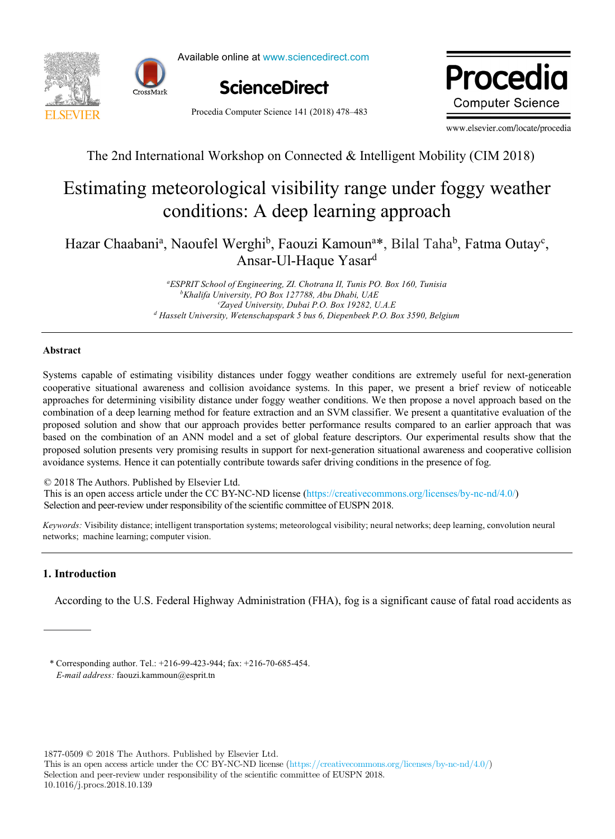



Available online at www.sciencedirect.com



Procedia Computer Science 141 (2018) 478–483

ww.elsevie **Computer Science** 

www.elsevier.com/locate/procedia

## The 2nd International Workshop on Connected & Intelligent Mobility (CIM 2018) The 2nd International Workshop on Connected & Intelligent Mobility (CIM 2018)

## Estimating meteorological visibility range under foggy weather Estimating meteorological visibility range under foggy weather conditions: A deep learning approach conditions: A deep learning approach

Hazar Chaabani<sup>a</sup>, Naoufel Werghi<sup>b</sup>, Faouzi Kamoun<sup>a\*</sup>, Bilal Taha<sup>b</sup>, Fatma Outay<sup>c</sup>, Ansar-Ul-Haque Yasard Ansar-Ul-Haque Yasard

*a ESPRIT School of Engineering, ZI. Chotrana II, Tunis PO. Box 160, Tunisia a ESPRIT School of Engineering, ZI. Chotrana II, Tunis PO. Box 160, Tunisia <i>b Khalifa University, PO Box 127788, Abu Dhabi, UAE Khalifa University, PO Box 127788, Abu Dhabi, UAE c Zayed University, Dubai P.O. Box 19282, U.A.E c Zayed University, Dubai P.O. Box 19282, U.A.E <sup>d</sup> Hasselt University, Wetenschapspark 5 bus 6, Diepenbeek P.O. Box 3590, Belgium <sup>d</sup> Hasselt University, Wetenschapspark 5 bus 6, Diepenbeek P.O. Box 3590, Belgium <i>b* 

#### **Abstract Abstract**

Systems capable of estimating visibility distances under foggy weather conditions are extremely useful for next-generation cooperative situational awareness and collision avoidance systems. In this paper, we present a brief review of noticeable approaches for determining visibility distance under foggy weather conditions. We then propose a novel approach based on the combination of a deep learning method for feature extraction and an SVM classifier. We present a quantitative evaluation of the proposed solution and show that our approach provides better performance results compared to an earlier approach that was based on the combination of an ANN model and a set of global feature descriptors. Our experimental results show that the proposed solution presents very promising results in support for next-generation situational awareness and cooperative collision avoidance systems. Hence it can potentially contribute towards safer driving conditions in the presence of fog. avoidance systems. Hence it can potentially contribute towards safer driving conditions in the presence of fog.

© 2018 The Authors. Published by Elsevier Ltd. This is an open access article under the CC BY-NC-ND license (<https://creativecommons.org/licenses/by-nc-nd/4.0/>) © 2018 The Authors. Published by Elsevier Ltd. © 2018 The Authors. Published by Elsevier Ltd. Selection and peer-review under responsibility of the scientific committee of EUSPN 2018.

Keywords: Visibility distance; intelligent transportation systems; meteorologcal visibility; neural networks; deep learning, convolution neural networks; machine learning; computer vision. networks; machine learning; computer vision.

#### **1. Introduction 1. Introduction**

According to the U.S. Federal Highway Administration (FHA), fog is a significant cause of fatal road accidents as

\* Corresponding author. Tel.: +216-99-423-944; fax: +216-70-685-454. \* Corresponding author. Tel.: +216-99-423-944; fax: +216-70-685-454. *E-mail address:* faouzi.kammoun@esprit.tn *E-mail address:* faouzi.kammoun@esprit.tn

1877-0509 © 2018 The Authors. Published by Elsevier Ltd.

This is an open access article under the CC BY-NC-ND license (https://creativecommons.org/licenses/by-nc-nd/4.0/) Selection and peer-review under responsibility of the scientific committee of EUSPN 2018. 10.1016/j.procs.2018.10.139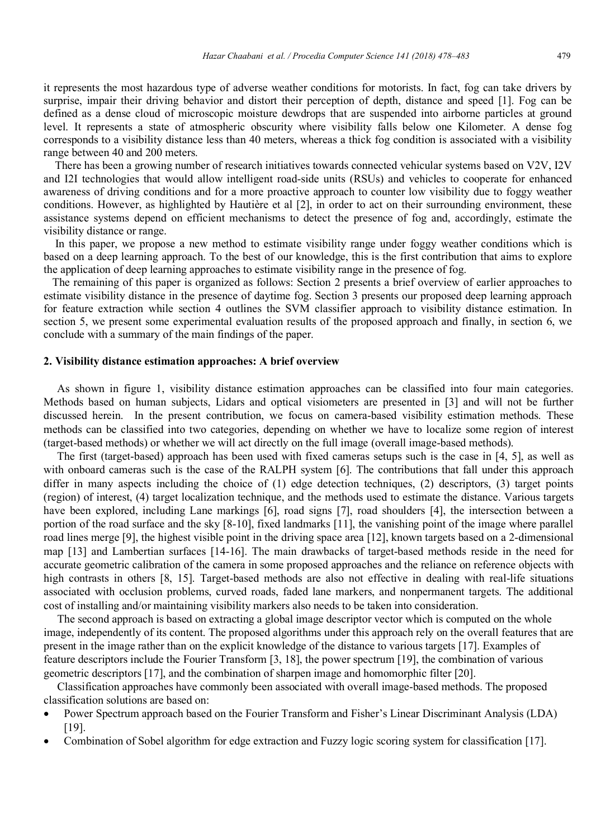it represents the most hazardous type of adverse weather conditions for motorists. In fact, fog can take drivers by surprise, impair their driving behavior and distort their perception of depth, distance and speed [1]. Fog can be defined as a dense cloud of microscopic moisture dewdrops that are suspended into airborne particles at ground level. It represents a state of atmospheric obscurity where visibility falls below one Kilometer. A dense fog corresponds to a visibility distance less than 40 meters, whereas a thick fog condition is associated with a visibility range between 40 and 200 meters.

 There has been a growing number of research initiatives towards connected vehicular systems based on V2V, I2V and I2I technologies that would allow intelligent road-side units (RSUs) and vehicles to cooperate for enhanced awareness of driving conditions and for a more proactive approach to counter low visibility due to foggy weather conditions. However, as highlighted by Hautière et al [2], in order to act on their surrounding environment, these assistance systems depend on efficient mechanisms to detect the presence of fog and, accordingly, estimate the visibility distance or range.

 In this paper, we propose a new method to estimate visibility range under foggy weather conditions which is based on a deep learning approach. To the best of our knowledge, this is the first contribution that aims to explore the application of deep learning approaches to estimate visibility range in the presence of fog.

 The remaining of this paper is organized as follows: Section 2 presents a brief overview of earlier approaches to estimate visibility distance in the presence of daytime fog. Section 3 presents our proposed deep learning approach for feature extraction while section 4 outlines the SVM classifier approach to visibility distance estimation. In section 5, we present some experimental evaluation results of the proposed approach and finally, in section 6, we conclude with a summary of the main findings of the paper.

#### **2. Visibility distance estimation approaches: A brief overview**

As shown in figure 1, visibility distance estimation approaches can be classified into four main categories. Methods based on human subjects, Lidars and optical visiometers are presented in [3] and will not be further discussed herein. In the present contribution, we focus on camera-based visibility estimation methods. These methods can be classified into two categories, depending on whether we have to localize some region of interest (target-based methods) or whether we will act directly on the full image (overall image-based methods).

The first (target-based) approach has been used with fixed cameras setups such is the case in [4, 5], as well as with onboard cameras such is the case of the RALPH system [6]. The contributions that fall under this approach differ in many aspects including the choice of (1) edge detection techniques, (2) descriptors, (3) target points (region) of interest, (4) target localization technique, and the methods used to estimate the distance. Various targets have been explored, including Lane markings [6], road signs [7], road shoulders [4], the intersection between a portion of the road surface and the sky [8-10], fixed landmarks [11], the vanishing point of the image where parallel road lines merge [9], the highest visible point in the driving space area [12], known targets based on a 2-dimensional map [13] and Lambertian surfaces [14-16]. The main drawbacks of target-based methods reside in the need for accurate geometric calibration of the camera in some proposed approaches and the reliance on reference objects with high contrasts in others [8, 15]. Target-based methods are also not effective in dealing with real-life situations associated with occlusion problems, curved roads, faded lane markers, and nonpermanent targets. The additional cost of installing and/or maintaining visibility markers also needs to be taken into consideration.

The second approach is based on extracting a global image descriptor vector which is computed on the whole image, independently of its content. The proposed algorithms under this approach rely on the overall features that are present in the image rather than on the explicit knowledge of the distance to various targets [17]. Examples of feature descriptors include the Fourier Transform [3, 18], the power spectrum [19], the combination of various geometric descriptors [17], and the combination of sharpen image and homomorphic filter [20].

Classification approaches have commonly been associated with overall image-based methods. The proposed classification solutions are based on:

- Power Spectrum approach based on the Fourier Transform and Fisher's Linear Discriminant Analysis (LDA) [19].
- Combination of Sobel algorithm for edge extraction and Fuzzy logic scoring system for classification [17].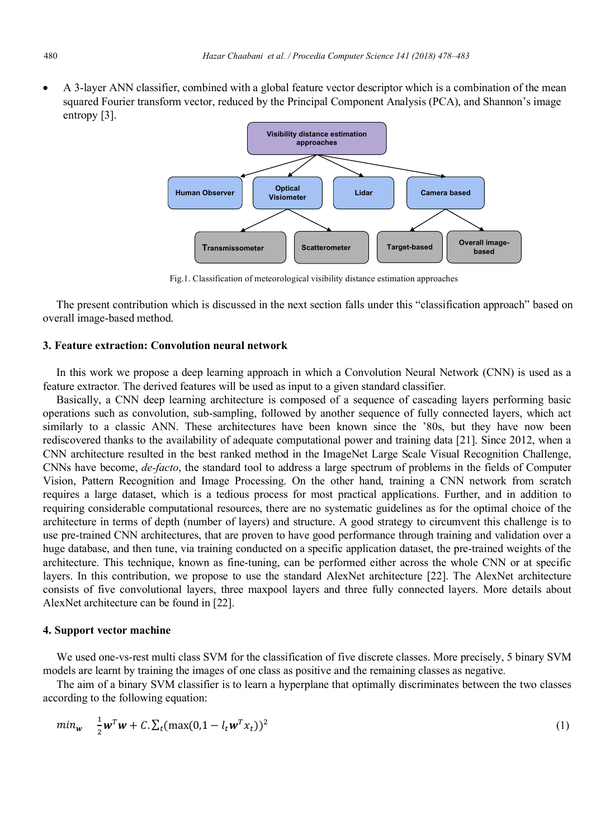• A 3-layer ANN classifier, combined with a global feature vector descriptor which is a combination of the mean squared Fourier transform vector, reduced by the Principal Component Analysis (PCA), and Shannon's image entropy [3].



Fig.1. Classification of meteorological visibility distance estimation approaches

The present contribution which is discussed in the next section falls under this "classification approach" based on overall image-based method.

#### **3. Feature extraction: Convolution neural network**

In this work we propose a deep learning approach in which a Convolution Neural Network (CNN) is used as a feature extractor. The derived features will be used as input to a given standard classifier.

Basically, a CNN deep learning architecture is composed of a sequence of cascading layers performing basic operations such as convolution, sub-sampling, followed by another sequence of fully connected layers, which act similarly to a classic ANN. These architectures have been known since the '80s, but they have now been rediscovered thanks to the availability of adequate computational power and training data [21]. Since 2012, when a CNN architecture resulted in the best ranked method in the ImageNet Large Scale Visual Recognition Challenge, CNNs have become, *de-facto*, the standard tool to address a large spectrum of problems in the fields of Computer Vision, Pattern Recognition and Image Processing. On the other hand, training a CNN network from scratch requires a large dataset, which is a tedious process for most practical applications. Further, and in addition to requiring considerable computational resources, there are no systematic guidelines as for the optimal choice of the architecture in terms of depth (number of layers) and structure. A good strategy to circumvent this challenge is to use pre-trained CNN architectures, that are proven to have good performance through training and validation over a huge database, and then tune, via training conducted on a specific application dataset, the pre-trained weights of the architecture. This technique, known as fine-tuning, can be performed either across the whole CNN or at specific layers. In this contribution, we propose to use the standard AlexNet architecture [22]. The AlexNet architecture consists of five convolutional layers, three maxpool layers and three fully connected layers. More details about AlexNet architecture can be found in [22].

#### **4. Support vector machine**

We used one-vs-rest multi class SVM for the classification of five discrete classes. More precisely, 5 binary SVM models are learnt by training the images of one class as positive and the remaining classes as negative.

The aim of a binary SVM classifier is to learn a hyperplane that optimally discriminates between the two classes according to the following equation:

$$
min_{\mathbf{w}} \quad \frac{1}{2}\mathbf{w}^T\mathbf{w} + C \cdot \sum_{t} (\max(0, 1 - l_t \mathbf{w}^T x_t))^2 \tag{1}
$$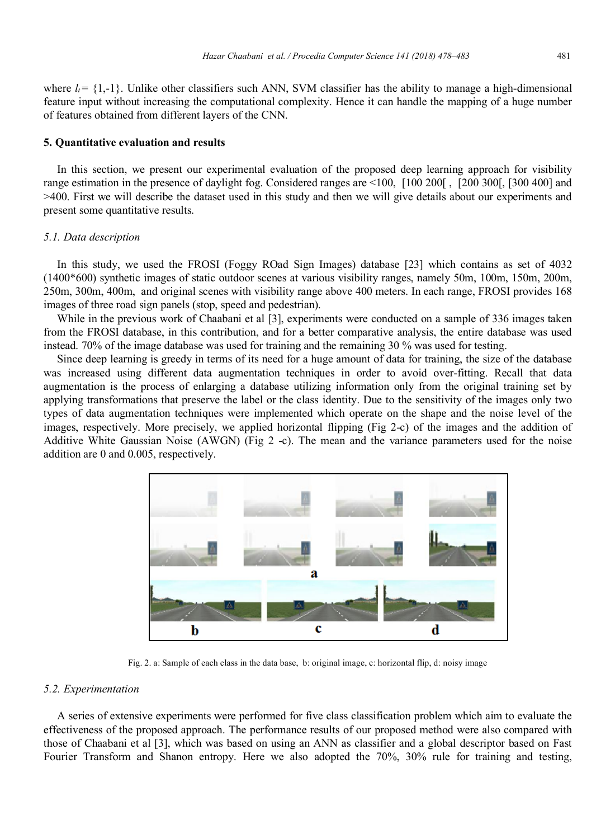where  $l_1 = \{1, -1\}$ . Unlike other classifiers such ANN, SVM classifier has the ability to manage a high-dimensional feature input without increasing the computational complexity. Hence it can handle the mapping of a huge number of features obtained from different layers of the CNN.

#### **5. Quantitative evaluation and results**

In this section, we present our experimental evaluation of the proposed deep learning approach for visibility range estimation in the presence of daylight fog. Considered ranges are <100, [100 200[ , [200 300[, [300 400] and >400. First we will describe the dataset used in this study and then we will give details about our experiments and present some quantitative results.

#### *5.1. Data description*

In this study, we used the FROSI (Foggy ROad Sign Images) database [23] which contains as set of 4032 (1400\*600) synthetic images of static outdoor scenes at various visibility ranges, namely 50m, 100m, 150m, 200m, 250m, 300m, 400m, and original scenes with visibility range above 400 meters. In each range, FROSI provides 168 images of three road sign panels (stop, speed and pedestrian).

While in the previous work of Chaabani et al [3], experiments were conducted on a sample of 336 images taken from the FROSI database, in this contribution, and for a better comparative analysis, the entire database was used instead. 70% of the image database was used for training and the remaining 30 % was used for testing.

Since deep learning is greedy in terms of its need for a huge amount of data for training, the size of the database was increased using different data augmentation techniques in order to avoid over-fitting. Recall that data augmentation is the process of enlarging a database utilizing information only from the original training set by applying transformations that preserve the label or the class identity. Due to the sensitivity of the images only two types of data augmentation techniques were implemented which operate on the shape and the noise level of the images, respectively. More precisely, we applied horizontal flipping (Fig 2-c) of the images and the addition of Additive White Gaussian Noise (AWGN) (Fig 2 -c). The mean and the variance parameters used for the noise addition are 0 and 0.005, respectively.



Fig. 2. a: Sample of each class in the data base, b: original image, c: horizontal flip, d: noisy image

#### *5.2. Experimentation*

A series of extensive experiments were performed for five class classification problem which aim to evaluate the effectiveness of the proposed approach. The performance results of our proposed method were also compared with those of Chaabani et al [3], which was based on using an ANN as classifier and a global descriptor based on Fast Fourier Transform and Shanon entropy. Here we also adopted the 70%, 30% rule for training and testing,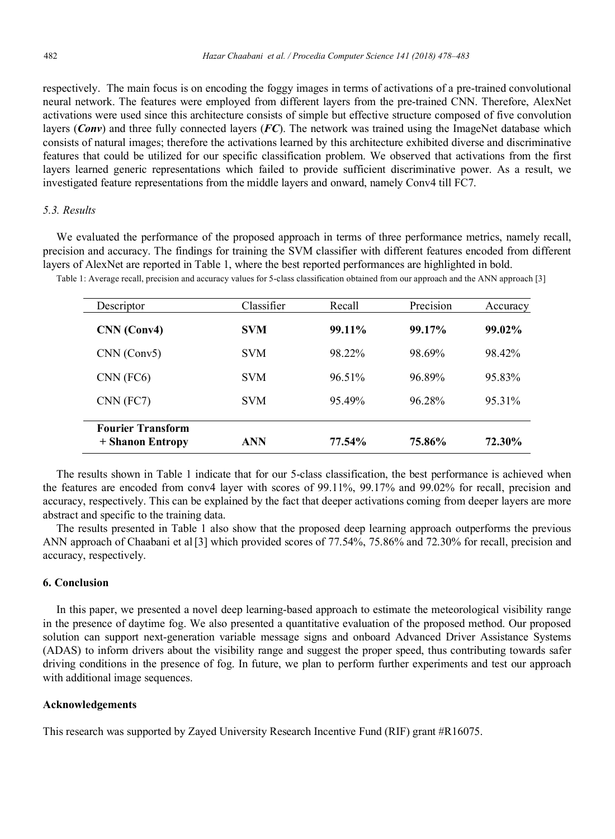respectively. The main focus is on encoding the foggy images in terms of activations of a pre-trained convolutional neural network. The features were employed from different layers from the pre-trained CNN. Therefore, AlexNet activations were used since this architecture consists of simple but effective structure composed of five convolution layers (*Conv*) and three fully connected layers (*FC*). The network was trained using the ImageNet database which consists of natural images; therefore the activations learned by this architecture exhibited diverse and discriminative features that could be utilized for our specific classification problem. We observed that activations from the first layers learned generic representations which failed to provide sufficient discriminative power. As a result, we investigated feature representations from the middle layers and onward, namely Conv4 till FC7.

#### *5.3. Results*

We evaluated the performance of the proposed approach in terms of three performance metrics, namely recall, precision and accuracy. The findings for training the SVM classifier with different features encoded from different layers of AlexNet are reported in Table 1, where the best reported performances are highlighted in bold.

| Table 1: Average recall, precision and accuracy values for 5-class classification obtained from our approach and the ANN approach [3] |
|---------------------------------------------------------------------------------------------------------------------------------------|
|---------------------------------------------------------------------------------------------------------------------------------------|

| Descriptor                                   | Classifier | Recall | Precision | Accuracy  |
|----------------------------------------------|------------|--------|-----------|-----------|
| CNN (Conv4)                                  | <b>SVM</b> | 99.11% | 99.17%    | $99.02\%$ |
| CNN (Conv5)                                  | <b>SVM</b> | 98.22% | 98.69%    | 98.42%    |
| CNN (FC6)                                    | <b>SVM</b> | 96.51% | 96.89%    | 95.83%    |
| CNN (FC7)                                    | <b>SVM</b> | 95.49% | 96.28%    | 95.31%    |
| <b>Fourier Transform</b><br>+ Shanon Entropy | ANN        | 77.54% | 75.86%    | 72.30%    |

The results shown in Table 1 indicate that for our 5-class classification, the best performance is achieved when the features are encoded from conv4 layer with scores of 99.11%, 99.17% and 99.02% for recall, precision and accuracy, respectively. This can be explained by the fact that deeper activations coming from deeper layers are more abstract and specific to the training data.

The results presented in Table 1 also show that the proposed deep learning approach outperforms the previous ANN approach of Chaabani et al [3] which provided scores of 77.54%, 75.86% and 72.30% for recall, precision and accuracy, respectively.

#### **6. Conclusion**

In this paper, we presented a novel deep learning-based approach to estimate the meteorological visibility range in the presence of daytime fog. We also presented a quantitative evaluation of the proposed method. Our proposed solution can support next-generation variable message signs and onboard Advanced Driver Assistance Systems (ADAS) to inform drivers about the visibility range and suggest the proper speed, thus contributing towards safer driving conditions in the presence of fog. In future, we plan to perform further experiments and test our approach with additional image sequences.

#### **Acknowledgements**

This research was supported by Zayed University Research Incentive Fund (RIF) grant #R16075.